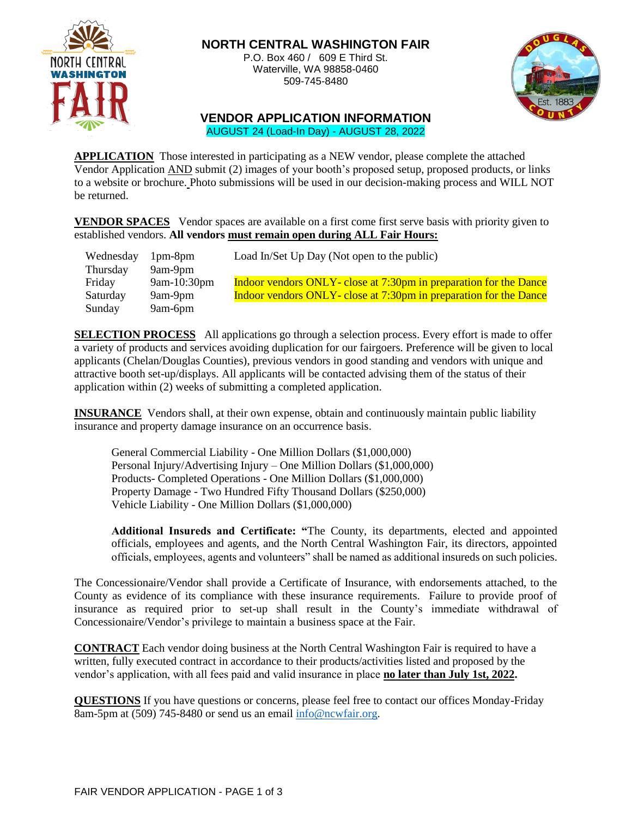

# **NORTH CENTRAL WASHINGTON FAIR**

P.O. Box 460 / 609 E Third St. Waterville, WA 98858-0460 509-745-8480



### **VENDOR APPLICATION INFORMATION** AUGUST 24 (Load-In Day) - AUGUST 28, 2022

**APPLICATION** Those interested in participating as a NEW vendor, please complete the attached Vendor Application AND submit (2) images of your booth's proposed setup, proposed products, or links to a website or brochure. Photo submissions will be used in our decision-making process and WILL NOT be returned.

**VENDOR SPACES** Vendor spaces are available on a first come first serve basis with priority given to established vendors. **All vendors must remain open during ALL Fair Hours:**

| Wednesday | $1pm-8pm$   | Load In/Set Up Day (Not open to the public)                       |
|-----------|-------------|-------------------------------------------------------------------|
| Thursday  | 9am-9pm     |                                                                   |
| Friday    | 9am-10:30pm | Indoor vendors ONLY- close at 7:30pm in preparation for the Dance |
| Saturday  | 9am-9pm     | Indoor vendors ONLY- close at 7:30pm in preparation for the Dance |
| Sunday    | 9am-6pm     |                                                                   |

**SELECTION PROCESS** All applications go through a selection process. Every effort is made to offer a variety of products and services avoiding duplication for our fairgoers. Preference will be given to local applicants (Chelan/Douglas Counties), previous vendors in good standing and vendors with unique and attractive booth set-up/displays. All applicants will be contacted advising them of the status of their application within (2) weeks of submitting a completed application.

**INSURANCE** Vendors shall, at their own expense, obtain and continuously maintain public liability insurance and property damage insurance on an occurrence basis.

General Commercial Liability - One Million Dollars (\$1,000,000) Personal Injury/Advertising Injury – One Million Dollars (\$1,000,000) Products- Completed Operations - One Million Dollars (\$1,000,000) Property Damage - Two Hundred Fifty Thousand Dollars (\$250,000) Vehicle Liability - One Million Dollars (\$1,000,000)

**Additional Insureds and Certificate: "**The County, its departments, elected and appointed officials, employees and agents, and the North Central Washington Fair, its directors, appointed officials, employees, agents and volunteers" shall be named as additional insureds on such policies.

The Concessionaire/Vendor shall provide a Certificate of Insurance, with endorsements attached, to the County as evidence of its compliance with these insurance requirements. Failure to provide proof of insurance as required prior to set-up shall result in the County's immediate withdrawal of Concessionaire/Vendor's privilege to maintain a business space at the Fair.

**CONTRACT** Each vendor doing business at the North Central Washington Fair is required to have a written, fully executed contract in accordance to their products/activities listed and proposed by the vendor's application, with all fees paid and valid insurance in place **no later than July 1st, 2022.**

**QUESTIONS** If you have questions or concerns, please feel free to contact our offices Monday-Friday 8am-5pm at (509) 745-8480 or send us an email [info@ncwfair.org.](mailto:info@ncwfair.org)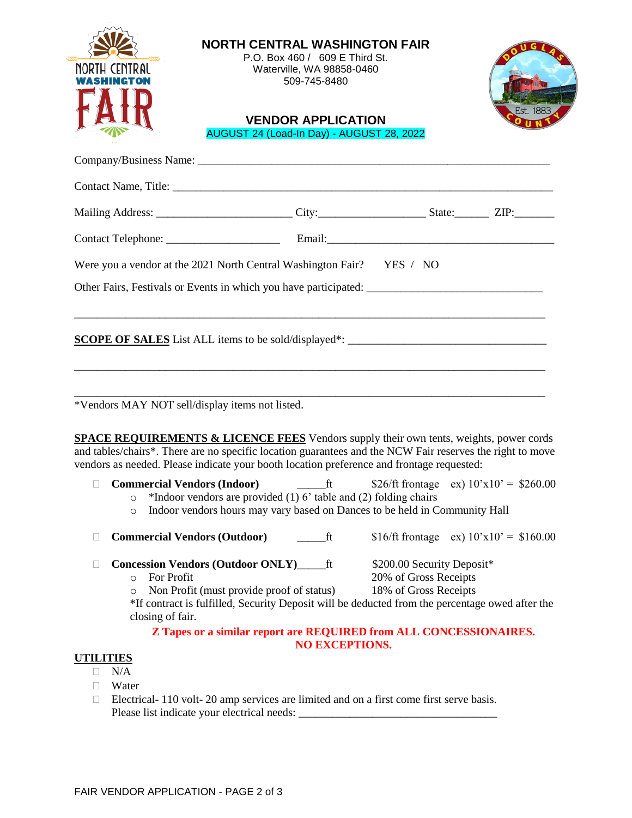| Est. 1883<br>AUGUST 24 (Load-In Day) - AUGUST 28, 2022<br>Were you a vendor at the 2021 North Central Washington Fair? YES / NO<br><u> 1989 - Johann Stoff, deutscher Stoff, der Stoff, der Stoff, der Stoff, der Stoff, der Stoff, der Stoff, der S</u> |
|----------------------------------------------------------------------------------------------------------------------------------------------------------------------------------------------------------------------------------------------------------|
|                                                                                                                                                                                                                                                          |
|                                                                                                                                                                                                                                                          |
|                                                                                                                                                                                                                                                          |
|                                                                                                                                                                                                                                                          |
|                                                                                                                                                                                                                                                          |
|                                                                                                                                                                                                                                                          |
|                                                                                                                                                                                                                                                          |
|                                                                                                                                                                                                                                                          |
|                                                                                                                                                                                                                                                          |
|                                                                                                                                                                                                                                                          |
|                                                                                                                                                                                                                                                          |
|                                                                                                                                                                                                                                                          |
|                                                                                                                                                                                                                                                          |
| <b>SPACE REQUIREMENTS &amp; LICENCE FEES</b> Vendors supply their own tents, weights, power cords<br>and tables/chairs*. There are no specific location guarantees and the NCW Fair reserves the right to move                                           |
| vendors as needed. Please indicate your booth location preference and frontage requested:<br>\$26/ft frontage ex) $10'x10' = $260.00$                                                                                                                    |
| *Indoor vendors are provided $(1)$ 6' table and $(2)$ folding chairs                                                                                                                                                                                     |
| Indoor vendors hours may vary based on Dances to be held in Community Hall                                                                                                                                                                               |
| \$16/ft frontage ex) $10'x10' = $160.00$                                                                                                                                                                                                                 |
| \$200.00 Security Deposit*                                                                                                                                                                                                                               |
| 20% of Gross Receipts<br>18% of Gross Receipts                                                                                                                                                                                                           |
| *If contract is fulfilled, Security Deposit will be deducted from the percentage owed after the                                                                                                                                                          |
| Z Tapes or a similar report are REQUIRED from ALL CONCESSIONAIRES.                                                                                                                                                                                       |
|                                                                                                                                                                                                                                                          |

- $\Box$  N/A
- Water
- $\Box$  Electrical- 110 volt- 20 amp services are limited and on a first come first serve basis. Please list indicate your electrical needs: \_\_\_\_\_\_\_\_\_\_\_\_\_\_\_\_\_\_\_\_\_\_\_\_\_\_\_\_\_\_\_\_\_\_\_